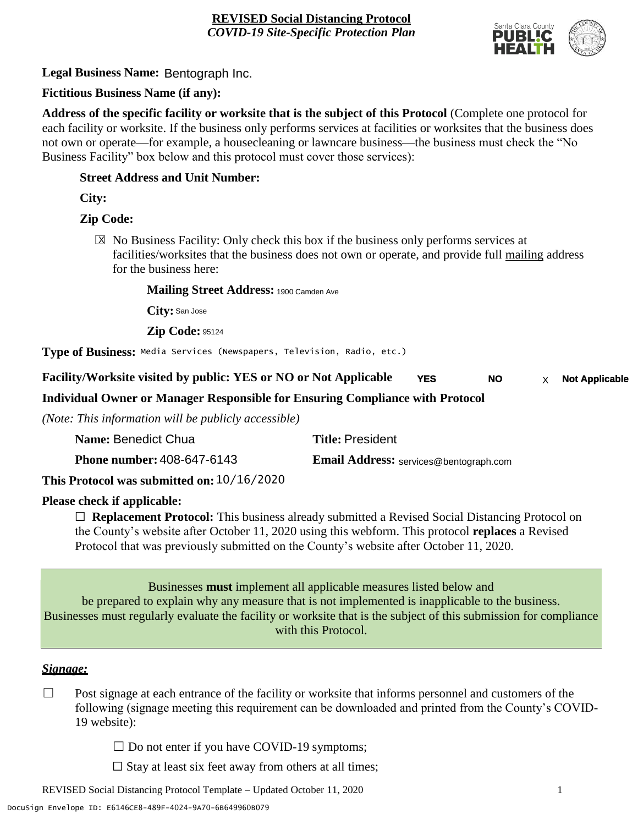

**Legal Business Name:** Bentograph Inc.

# **Fictitious Business Name (if any):**

**Address of the specific facility or worksite that is the subject of this Protocol** (Complete one protocol for each facility or worksite. If the business only performs services at facilities or worksites that the business does not own or operate—for example, a housecleaning or lawncare business—the business must check the "No Business Facility" box below and this protocol must cover those services):

### **Street Address and Unit Number:**

**City:**

# **Zip Code:**

 $\boxtimes$  No Business Facility: Only check this box if the business only performs services at facilities/worksites that the business does not own or operate, and provide full mailing address for the business here:

#### **Mailing Street Address:** 1900 Camden Ave

**City:** San Jose

**Zip Code:** 95124

**Type of Business:** Media Services (Newspapers, Television, Radio, etc.)

**Facility/Worksite visited by public: YES or NO or Not Applicable YES** NO  $\times$  Not Applicable **NO**

# **Individual Owner or Manager Responsible for Ensuring Compliance with Protocol**

*(Note: This information will be publicly accessible)*

| Name: Benedict Chua                        | <b>Title: President</b>                       |
|--------------------------------------------|-----------------------------------------------|
| <b>Phone number: 408-647-6143</b>          | <b>Email Address:</b> services@bentograph.com |
| This Protocol was submitted on: 10/16/2020 |                                               |

# **Please check if applicable:**

☐ **Replacement Protocol:** This business already submitted a Revised Social Distancing Protocol on the County's website after October 11, 2020 using this webform. This protocol **replaces** a Revised Protocol that was previously submitted on the County's website after October 11, 2020.

Businesses **must** implement all applicable measures listed below and be prepared to explain why any measure that is not implemented is inapplicable to the business. Businesses must regularly evaluate the facility or worksite that is the subject of this submission for compliance with this Protocol.

#### *Signage:*

- $\Box$  Post signage at each entrance of the facility or worksite that informs personnel and customers of the following (signage meeting this requirement can be downloaded and printed from the County's COVID-19 website):
	- $\Box$  Do not enter if you have COVID-19 symptoms;
	- $\Box$  Stay at least six feet away from others at all times;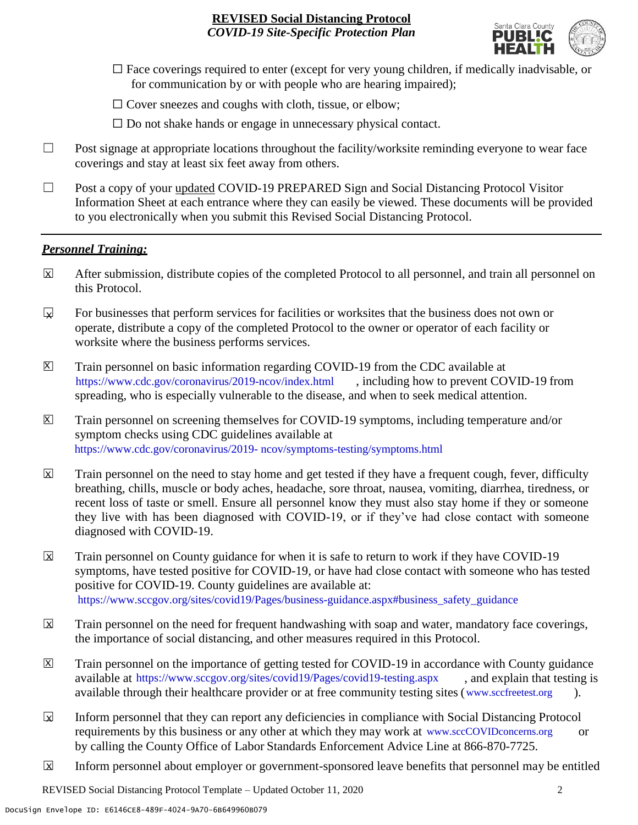

- $\Box$  Face coverings required to enter (except for very young children, if medically inadvisable, or for communication by or with people who are hearing impaired);
- $\Box$  Cover sneezes and coughs with cloth, tissue, or elbow;
- $\Box$  Do not shake hands or engage in unnecessary physical contact.
- □ Post signage at appropriate locations throughout the facility/worksite reminding everyone to wear face coverings and stay at least six feet away from others.
- ☐ Post a copy of your updated COVID-19 PREPARED Sign and Social Distancing Protocol Visitor Information Sheet at each entrance where they can easily be viewed. These documents will be provided to you electronically when you submit this Revised Social Distancing Protocol.

#### *Personnel Training:*

- After submission, distribute copies of the completed Protocol to all personnel, and train all personnel on this Protocol.  $\mathbf x$
- For businesses that perform services for facilities or worksites that the business does not own or operate, distribute a copy of the completed Protocol to the owner or operator of each facility or worksite where the business performs services.  $\mathbf{v}$
- Train personnel on basic information regarding COVID-19 from the CDC available at [https://www.cdc.gov/coronavirus/2019-ncov/index.html,](https://www.cdc.gov/coronavirus/2019-ncov/index.html) including how to prevent COVID-19 from spreading, who is especially vulnerable to the disease, and when to seek medical attention.  $\mathsf{X}$
- Train personnel on screening themselves for COVID-19 symptoms, including temperature and/or symptom checks using CDC guidelines available at [https://www.cdc.gov/coronavirus/2019-](https://www.cdc.gov/coronavirus/2019-ncov/symptoms-testing/symptoms.html) [ncov/symptoms-testing/symptoms.html.](https://www.cdc.gov/coronavirus/2019-ncov/symptoms-testing/symptoms.html) https://www.cdc.gov/coronavirus/2019- ncov/symptoms-testing/symptoms.html  $|\mathsf{X}|$
- Train personnel on the need to stay home and get tested if they have a frequent cough, fever, difficulty breathing, chills, muscle or body aches, headache, sore throat, nausea, vomiting, diarrhea, tiredness, or recent loss of taste or smell. Ensure all personnel know they must also stay home if they or someone they live with has been diagnosed with COVID-19, or if they've had close contact with someone diagnosed with COVID-19.  $\mathbf x$
- Train personnel on County guidance for when it is safe to return to work if they have COVID-19 symptoms, have tested positive for COVID-19, or have had close contact with someone who has tested positive for COVID-19. County guidelines are available at: [https://www.sccgov.org/sites/covid19/Pages/business-guidance.aspx#business\\_safety\\_guidance.](https://www.sccgov.org/sites/covid19/Pages/business-guidance.aspx#business_safety_guidance.) https://www.sccgov.org/sites/covid19/Pages/business-guidance.aspx#business\_safety\_guidance X
- Train personnel on the need for frequent handwashing with soap and water, mandatory face coverings, the importance of social distancing, and other measures required in this Protocol.  $\overline{\mathsf{x}}$
- Train personnel on the importance of getting tested for COVID-19 in accordance with County guidance available at [https://www.sccgov.org/sites/covid19/Pages/covid19-testing.aspx,](https://www.sccgov.org/sites/covid19/Pages/covid19-testing.aspx) and explain that testing is available through their healthcare provider or at free community testing sites [\(www.sccfreetest.org](http://www.sccfreetest.org/) ).  $\vert X \vert$
- Inform personnel that they can report any deficiencies in compliance with Social Distancing Protocol requirements by this business or any other at which they may work at [www.sccCOVIDconcerns.org](http://www.scccovidconcerns.org/) or by calling the County Office of Labor Standards Enforcement Advice Line at 866-870-7725.  $\overline{\mathbf{x}}$
- Inform personnel about employer or government-sponsored leave benefits that personnel may be entitled  $\boxtimes$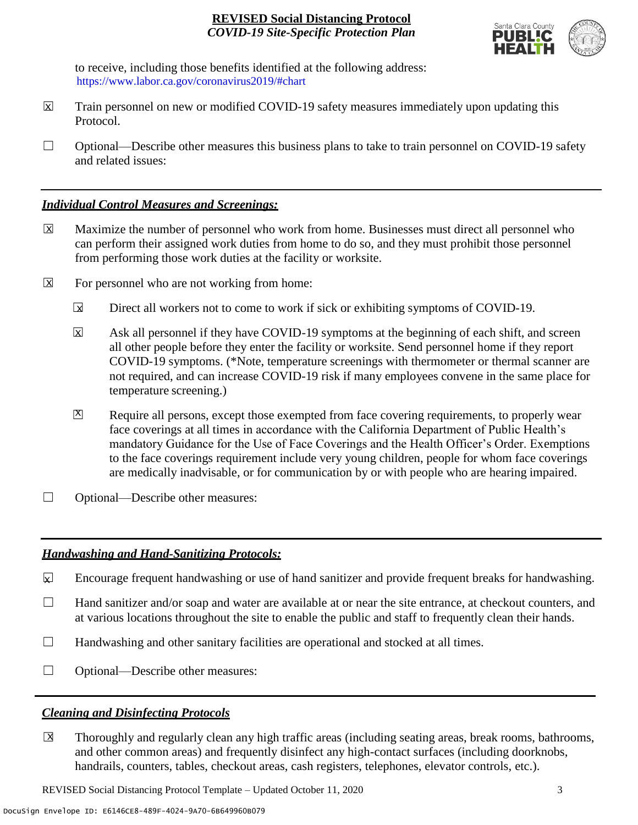

to receive, including those benefits identified at the following address: [https://www.labor.ca.gov/coronavirus2019/#chart.](https://www.labor.ca.gov/coronavirus2019/#chart) https://www.labor.ca.gov/coronavirus2019/#chart

- Train personnel on new or modified COVID-19 safety measures immediately upon updating this Protocol.  $\boxtimes$
- $\Box$  Optional—Describe other measures this business plans to take to train personnel on COVID-19 safety and related issues:

### *Individual Control Measures and Screenings:*

- Maximize the number of personnel who work from home. Businesses must direct all personnel who can perform their assigned work duties from home to do so, and they must prohibit those personnel from performing those work duties at the facility or worksite.  $|\overline{X}|$
- For personnel who are not working from home:  $\boxtimes$ 
	- Direct all workers not to come to work if sick or exhibiting symptoms of COVID-19.  $\overline{\mathbf{x}}$
	- Ask all personnel if they have COVID-19 symptoms at the beginning of each shift, and screen all other people before they enter the facility or worksite. Send personnel home if they report COVID-19 symptoms. (\*Note, temperature screenings with thermometer or thermal scanner are not required, and can increase COVID-19 risk if many employees convene in the same place for temperature screening.) X
	- Require all persons, except those exempted from face covering requirements, to properly wear face coverings at all times in accordance with the California Department of Public Health's mandatory Guidance for the Use of Face Coverings and the Health Officer's Order. Exemptions to the face coverings requirement include very young children, people for whom face coverings are medically inadvisable, or for communication by or with people who are hearing impaired.  $\mathbf{X}$
- □ Optional—Describe other measures:

# *Handwashing and Hand-Sanitizing Protocols:*

- Encourage frequent handwashing or use of hand sanitizer and provide frequent breaks for handwashing.  $\boldsymbol{\nabla}$
- ☐ Hand sanitizer and/or soap and water are available at or near the site entrance, at checkout counters, and at various locations throughout the site to enable the public and staff to frequently clean their hands.
- $\Box$  Handwashing and other sanitary facilities are operational and stocked at all times.
- ☐ Optional—Describe other measures:

# *Cleaning and Disinfecting Protocols*

☐ Thoroughly and regularly clean any high traffic areas (including seating areas, break rooms, bathrooms, and other common areas) and frequently disinfect any high-contact surfaces (including doorknobs, handrails, counters, tables, checkout areas, cash registers, telephones, elevator controls, etc.).  $\overline{\mathsf{x}}$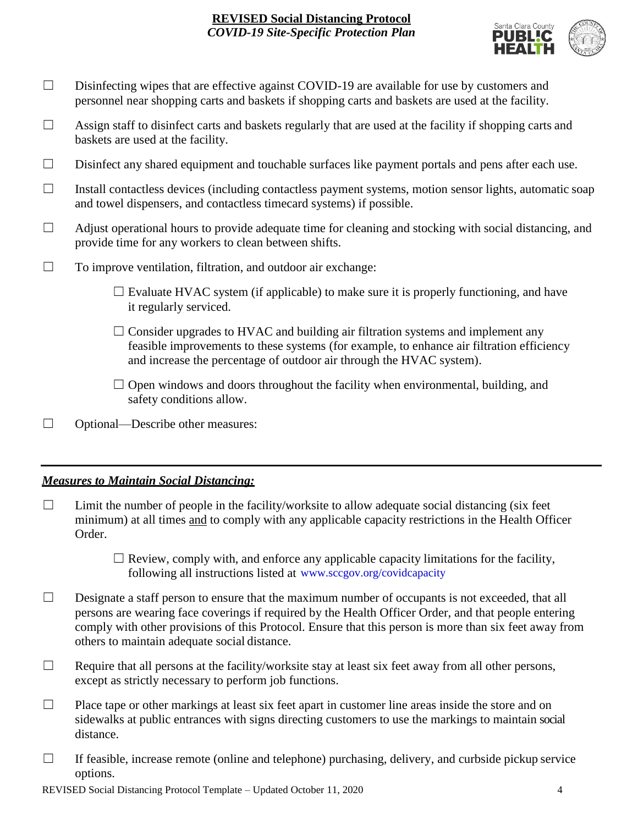

- □ Disinfecting wipes that are effective against COVID-19 are available for use by customers and personnel near shopping carts and baskets if shopping carts and baskets are used at the facility.
- $\Box$  Assign staff to disinfect carts and baskets regularly that are used at the facility if shopping carts and baskets are used at the facility.
- ☐ Disinfect any shared equipment and touchable surfaces like payment portals and pens after each use.
- ☐ Install contactless devices (including contactless payment systems, motion sensor lights, automatic soap and towel dispensers, and contactless timecard systems) if possible.
- $\Box$  Adjust operational hours to provide adequate time for cleaning and stocking with social distancing, and provide time for any workers to clean between shifts.
- $\Box$  To improve ventilation, filtration, and outdoor air exchange:
	- $\Box$  Evaluate HVAC system (if applicable) to make sure it is properly functioning, and have it regularly serviced.
	- $\Box$  Consider upgrades to HVAC and building air filtration systems and implement any feasible improvements to these systems (for example, to enhance air filtration efficiency and increase the percentage of outdoor air through the HVAC system).
	- $\Box$  Open windows and doors throughout the facility when environmental, building, and safety conditions allow.
- ☐ Optional—Describe other measures:

#### *Measures to Maintain Social Distancing:*

- $\Box$  Limit the number of people in the facility/worksite to allow adequate social distancing (six feet minimum) at all times and to comply with any applicable capacity restrictions in the Health Officer Order.
	- $\Box$  Review, comply with, and enforce any applicable capacity limitations for the facility, following all instructions listed at www.sccgov.org/covidcapacity
- $\Box$  Designate a staff person to ensure that the maximum number of occupants is not exceeded, that all persons are wearing face coverings if required by the Health Officer Order, and that people entering comply with other provisions of this Protocol. Ensure that this person is more than six feet away from others to maintain adequate social distance.
- $\Box$  Require that all persons at the facility/worksite stay at least six feet away from all other persons, except as strictly necessary to perform job functions.
- $\Box$  Place tape or other markings at least six feet apart in customer line areas inside the store and on sidewalks at public entrances with signs directing customers to use the markings to maintain social distance.
- $\Box$  If feasible, increase remote (online and telephone) purchasing, delivery, and curbside pickup service options.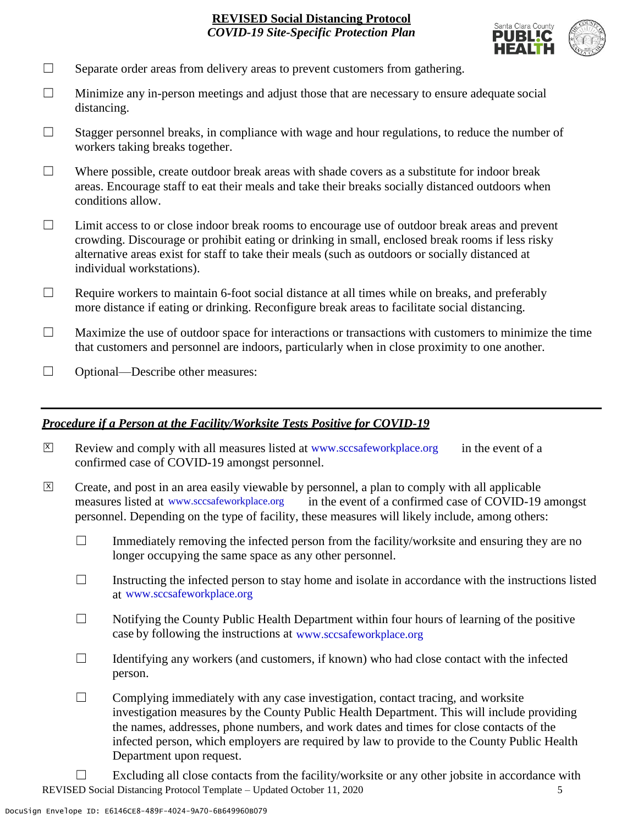

- $\Box$  Separate order areas from delivery areas to prevent customers from gathering.
- $\Box$  Minimize any in-person meetings and adjust those that are necessary to ensure adequate social distancing.
- $\Box$  Stagger personnel breaks, in compliance with wage and hour regulations, to reduce the number of workers taking breaks together.
- $\Box$  Where possible, create outdoor break areas with shade covers as a substitute for indoor break areas. Encourage staff to eat their meals and take their breaks socially distanced outdoors when conditions allow.
- ☐ Limit access to or close indoor break rooms to encourage use of outdoor break areas and prevent crowding. Discourage or prohibit eating or drinking in small, enclosed break rooms if less risky alternative areas exist for staff to take their meals (such as outdoors or socially distanced at individual workstations).
- $\Box$  Require workers to maintain 6-foot social distance at all times while on breaks, and preferably more distance if eating or drinking. Reconfigure break areas to facilitate social distancing.
- $\Box$  Maximize the use of outdoor space for interactions or transactions with customers to minimize the time that customers and personnel are indoors, particularly when in close proximity to one another.
- □ Optional—Describe other measures:

#### *Procedure if a Person at the Facility/Worksite Tests Positive for COVID-19*

- $\boxtimes$  Review and comply with all measures listed at [www.sccsafeworkplace.org](http://www.sccsafeworkplace.org/) in the event of a confirmed case of COVID-19 amongst personnel. X
- ☐ Create, and post in an area easily viewable by personnel, a plan to comply with all applicable in the event of a confirmed case of COVID-19 amongst personnel. Depending on the type of facility, these measures will likely include, among others: measures listed at www.sccsafeworkplace.org  $\overline{X}$ 
	- $\Box$  Immediately removing the infected person from the facility/worksite and ensuring they are no longer occupying the same space as any other personnel.
	- $\Box$  Instructing the infected person to stay home and isolate in accordance with the instructions listed at [www.sccsafeworkplace.org.](file:///C:/Users/raphael.rajendra/AppData/Local/Microsoft/Windows/INetCache/Content.Outlook/PTLHNOTE/www.sccsafeworkplace.org) www.sccsafeworkplace.org
	- $\Box$  Notifying the County Public Health Department within four hours of learning of the positive case by following the instructions at www.sccsafeworkplace.org
	- $\Box$  Identifying any workers (and customers, if known) who had close contact with the infected person.
	- $\Box$  Complying immediately with any case investigation, contact tracing, and worksite investigation measures by the County Public Health Department. This will include providing the names, addresses, phone numbers, and work dates and times for close contacts of the infected person, which employers are required by law to provide to the County Public Health Department upon request.
- REVISED Social Distancing Protocol Template Updated October 11, 2020 5  $\Box$  Excluding all close contacts from the facility/worksite or any other jobsite in accordance with